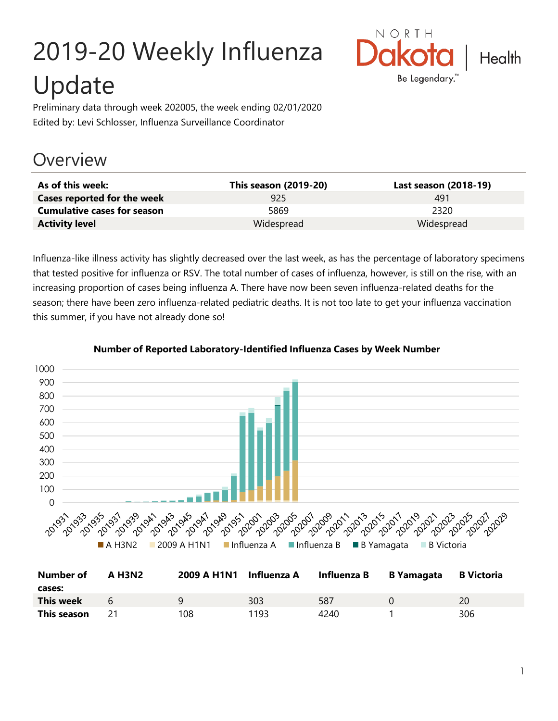# 2019-20 Weekly Influenza Update



Preliminary data through week 202005, the week ending 02/01/2020 Edited by: Levi Schlosser, Influenza Surveillance Coordinator

## **Overview**

| As of this week:                   | This season (2019-20) | Last season (2018-19) |
|------------------------------------|-----------------------|-----------------------|
| Cases reported for the week        | 925                   | 491                   |
| <b>Cumulative cases for season</b> | 5869                  | 2320                  |
| <b>Activity level</b>              | Widespread            | Widespread            |

Influenza-like illness activity has slightly decreased over the last week, as has the percentage of laboratory specimens that tested positive for influenza or RSV. The total number of cases of influenza, however, is still on the rise, with an increasing proportion of cases being influenza A. There have now been seven influenza-related deaths for the season; there have been zero influenza-related pediatric deaths. It is not too late to get your influenza vaccination this summer, if you have not already done so!



#### **Number of Reported Laboratory-Identified Influenza Cases by Week Number**

| <b>Number of</b><br>cases: | A H3N2         | 2009 A H1N1 Influenza A |      | Influenza B B Yamagata | <b>B</b> Victoria |
|----------------------------|----------------|-------------------------|------|------------------------|-------------------|
| This week                  | $\overline{a}$ | q                       | 303  | 587                    | 20                |
| This season                |                | 108                     | 1193 | 4240                   | 306               |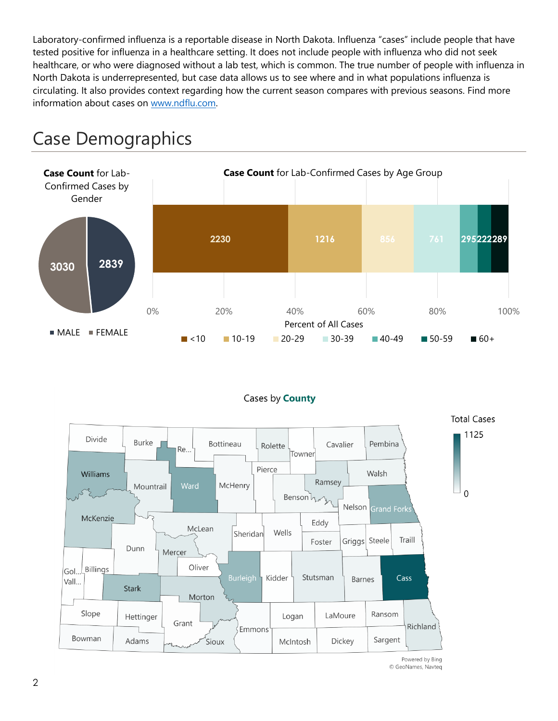Laboratory-confirmed influenza is a reportable disease in North Dakota. Influenza "cases" include people that have tested positive for influenza in a healthcare setting. It does not include people with influenza who did not seek healthcare, or who were diagnosed without a lab test, which is common. The true number of people with influenza in North Dakota is underrepresented, but case data allows us to see where and in what populations influenza is circulating. It also provides context regarding how the current season compares with previous seasons. Find more information about cases on [www.ndflu.com.](file://///nd.gov/doh/DOH-DATA/MSS/DC/PROGRAM/IMMUNE/Immunize/Influenza/Inf18-19/Surveillance/Weekly%20Summaries/www.ndflu.com)







Powered by Bing © GeoNames, Navteq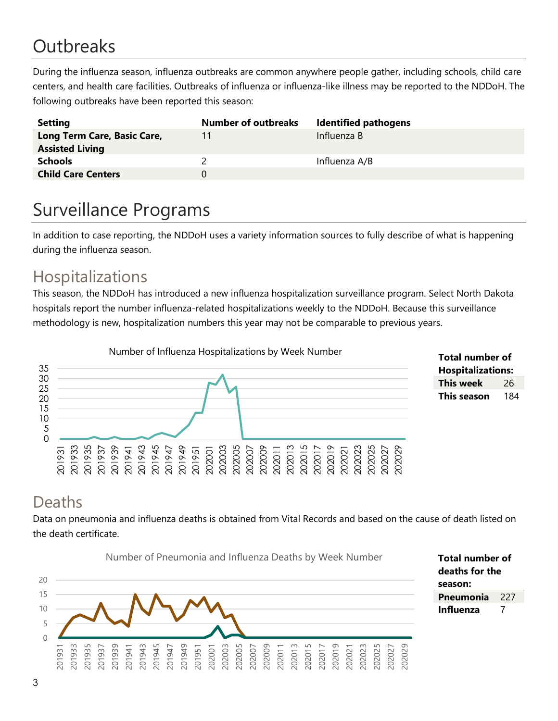# **Outbreaks**

During the influenza season, influenza outbreaks are common anywhere people gather, including schools, child care centers, and health care facilities. Outbreaks of influenza or influenza-like illness may be reported to the NDDoH. The following outbreaks have been reported this season:

| <b>Setting</b>              | <b>Number of outbreaks</b> | <b>Identified pathogens</b> |
|-----------------------------|----------------------------|-----------------------------|
| Long Term Care, Basic Care, | 11                         | Influenza B                 |
| <b>Assisted Living</b>      |                            |                             |
| <b>Schools</b>              |                            | Influenza A/B               |
| <b>Child Care Centers</b>   | 0                          |                             |

# Surveillance Programs

In addition to case reporting, the NDDoH uses a variety information sources to fully describe of what is happening during the influenza season.

#### Hospitalizations

This season, the NDDoH has introduced a new influenza hospitalization surveillance program. Select North Dakota hospitals report the number influenza-related hospitalizations weekly to the NDDoH. Because this surveillance methodology is new, hospitalization numbers this year may not be comparable to previous years.





#### Deaths

Data on pneumonia and influenza deaths is obtained from Vital Records and based on the cause of death listed on the death certificate.



**Total number of deaths for the season: Pneumonia** 227 **Influenza** 7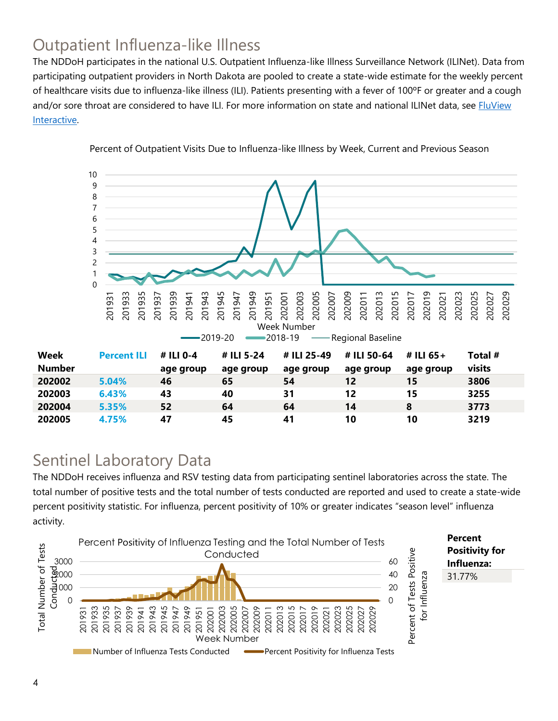### Outpatient Influenza-like Illness

The NDDoH participates in the national U.S. Outpatient Influenza-like Illness Surveillance Network (ILINet). Data from participating outpatient providers in North Dakota are pooled to create a state-wide estimate for the weekly percent of healthcare visits due to influenza-like illness (ILI). Patients presenting with a fever of 100ºF or greater and a cough and/or sore throat are considered to have ILI. For more information on state and national ILINet data, see **FluView** [Interactive.](https://gis.cdc.gov/grasp/fluview/fluportaldashboard.html)



Percent of Outpatient Visits Due to Influenza-like Illness by Week, Current and Previous Season

#### Sentinel Laboratory Data

The NDDoH receives influenza and RSV testing data from participating sentinel laboratories across the state. The total number of positive tests and the total number of tests conducted are reported and used to create a state-wide percent positivity statistic. For influenza, percent positivity of 10% or greater indicates "season level" influenza activity.

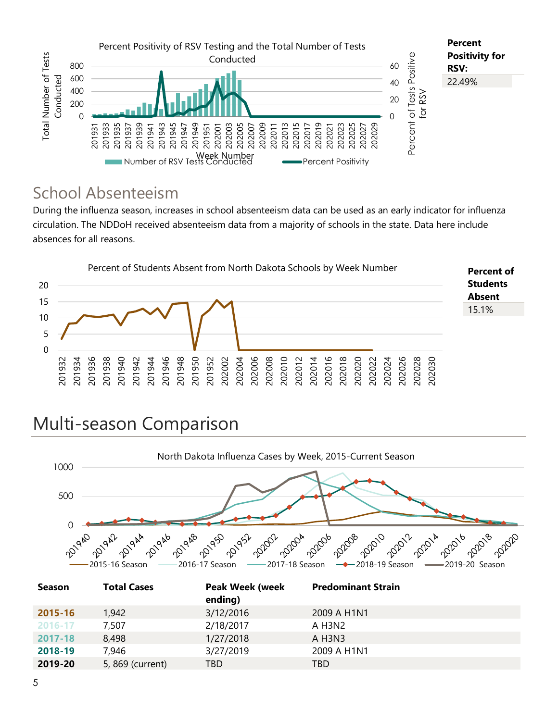

#### School Absenteeism

During the influenza season, increases in school absenteeism data can be used as an early indicator for influenza circulation. The NDDoH received absenteeism data from a majority of schools in the state. Data here include absences for all reasons.



# Multi-season Comparison